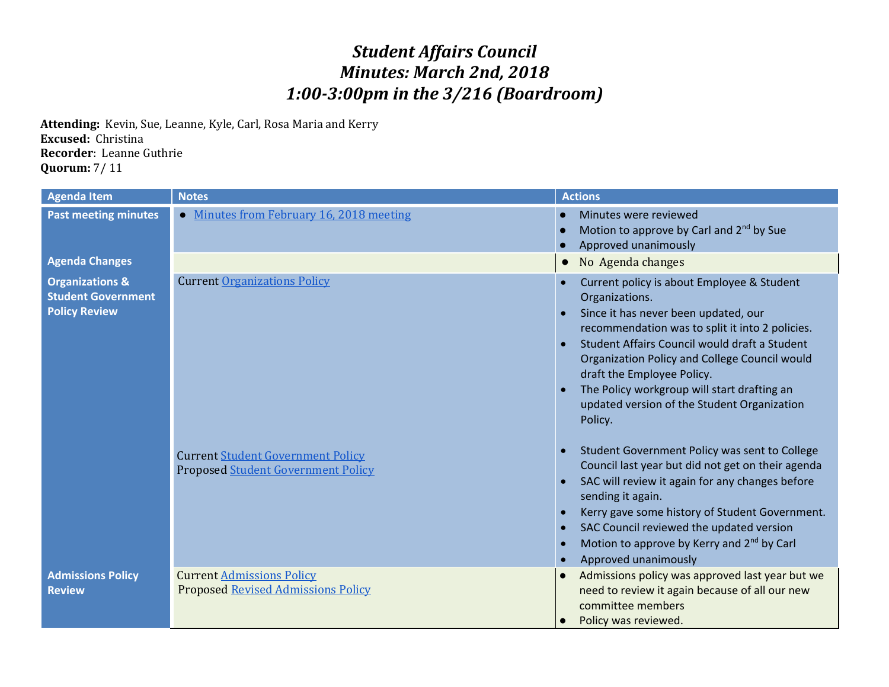## *Student Affairs Council Minutes: March 2nd, 2018 1:00-3:00pm in the 3/216 (Boardroom)*

**Attending:** Kevin, Sue, Leanne, Kyle, Carl, Rosa Maria and Kerry **Excused:** Christina **Recorder**: Leanne Guthrie **Quorum:** 7/ 11

| <b>Agenda Item</b>                                                              | <b>Notes</b>                                                                          | <b>Actions</b>                                                                                                                                                                                                                                                                                                                                                                                                                                    |
|---------------------------------------------------------------------------------|---------------------------------------------------------------------------------------|---------------------------------------------------------------------------------------------------------------------------------------------------------------------------------------------------------------------------------------------------------------------------------------------------------------------------------------------------------------------------------------------------------------------------------------------------|
| <b>Past meeting minutes</b>                                                     | • Minutes from February 16, 2018 meeting                                              | Minutes were reviewed<br>Motion to approve by Carl and 2 <sup>nd</sup> by Sue<br>Approved unanimously                                                                                                                                                                                                                                                                                                                                             |
| <b>Agenda Changes</b>                                                           |                                                                                       | No Agenda changes<br>$\bullet$                                                                                                                                                                                                                                                                                                                                                                                                                    |
| <b>Organizations &amp;</b><br><b>Student Government</b><br><b>Policy Review</b> | <b>Current Organizations Policy</b>                                                   | Current policy is about Employee & Student<br>Organizations.<br>Since it has never been updated, our<br>recommendation was to split it into 2 policies.<br>Student Affairs Council would draft a Student<br>Organization Policy and College Council would<br>draft the Employee Policy.<br>The Policy workgroup will start drafting an<br>updated version of the Student Organization<br>Policy.<br>Student Government Policy was sent to College |
|                                                                                 | <b>Current Student Government Policy</b><br><b>Proposed Student Government Policy</b> | Council last year but did not get on their agenda<br>SAC will review it again for any changes before<br>sending it again.<br>Kerry gave some history of Student Government.<br>SAC Council reviewed the updated version<br>Motion to approve by Kerry and 2 <sup>nd</sup> by Carl<br>$\bullet$<br>Approved unanimously                                                                                                                            |
| <b>Admissions Policy</b><br><b>Review</b>                                       | <b>Current Admissions Policy</b><br><b>Proposed Revised Admissions Policy</b>         | Admissions policy was approved last year but we<br>need to review it again because of all our new<br>committee members<br>Policy was reviewed.                                                                                                                                                                                                                                                                                                    |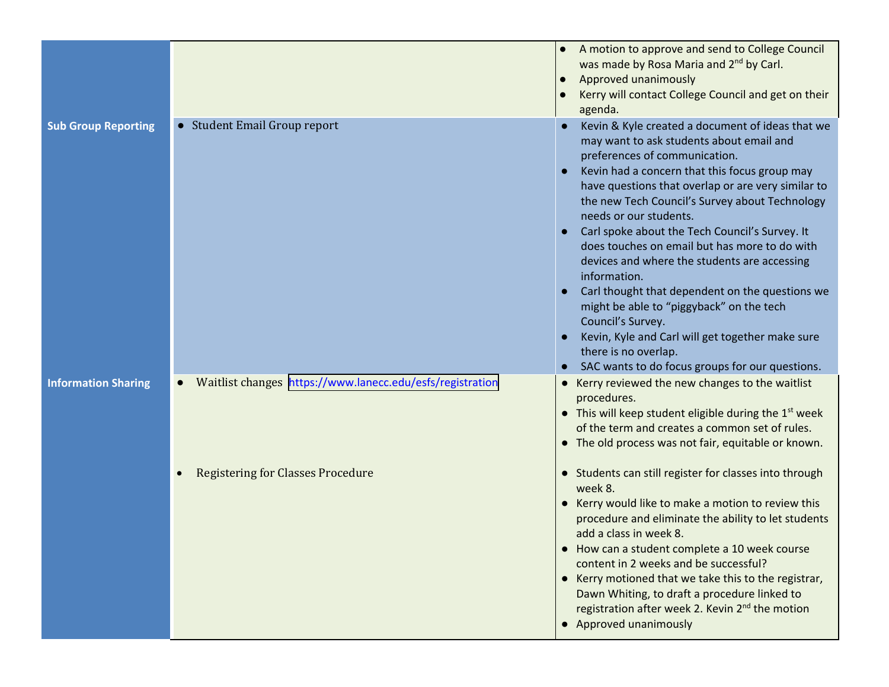|                            |                                                           | A motion to approve and send to College Council<br>was made by Rosa Maria and 2 <sup>nd</sup> by Carl.<br>Approved unanimously<br>Kerry will contact College Council and get on their<br>agenda.                                                                                                                                                                                                                                                                                                                                                                                                                                                                                                                                       |
|----------------------------|-----------------------------------------------------------|----------------------------------------------------------------------------------------------------------------------------------------------------------------------------------------------------------------------------------------------------------------------------------------------------------------------------------------------------------------------------------------------------------------------------------------------------------------------------------------------------------------------------------------------------------------------------------------------------------------------------------------------------------------------------------------------------------------------------------------|
| <b>Sub Group Reporting</b> | • Student Email Group report                              | Kevin & Kyle created a document of ideas that we<br>may want to ask students about email and<br>preferences of communication.<br>Kevin had a concern that this focus group may<br>have questions that overlap or are very similar to<br>the new Tech Council's Survey about Technology<br>needs or our students.<br>Carl spoke about the Tech Council's Survey. It<br>does touches on email but has more to do with<br>devices and where the students are accessing<br>information.<br>Carl thought that dependent on the questions we<br>might be able to "piggyback" on the tech<br>Council's Survey.<br>Kevin, Kyle and Carl will get together make sure<br>there is no overlap.<br>SAC wants to do focus groups for our questions. |
| <b>Information Sharing</b> | Waitlist changes https://www.lanecc.edu/esfs/registration | • Kerry reviewed the new changes to the waitlist<br>procedures.<br>• This will keep student eligible during the $1st$ week<br>of the term and creates a common set of rules.<br>• The old process was not fair, equitable or known.                                                                                                                                                                                                                                                                                                                                                                                                                                                                                                    |
|                            | <b>Registering for Classes Procedure</b>                  | • Students can still register for classes into through<br>week 8.<br>• Kerry would like to make a motion to review this<br>procedure and eliminate the ability to let students<br>add a class in week 8.<br>• How can a student complete a 10 week course<br>content in 2 weeks and be successful?<br>• Kerry motioned that we take this to the registrar,<br>Dawn Whiting, to draft a procedure linked to<br>registration after week 2. Kevin 2 <sup>nd</sup> the motion<br>• Approved unanimously                                                                                                                                                                                                                                    |